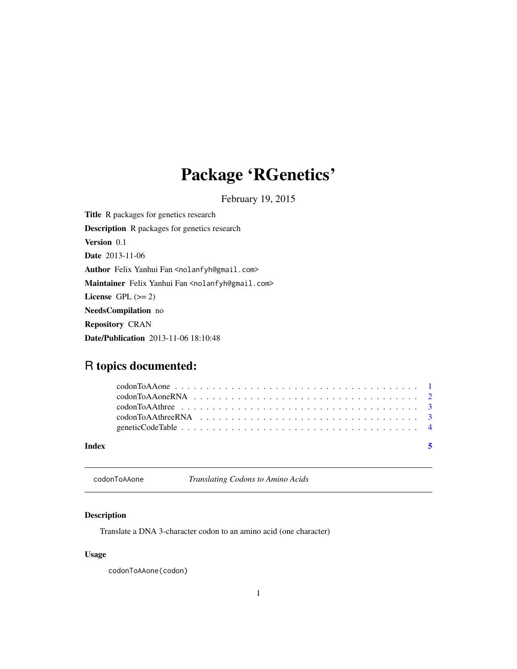# <span id="page-0-0"></span>Package 'RGenetics'

February 19, 2015

Title R packages for genetics research Description R packages for genetics research Version 0.1 Date 2013-11-06 Author Felix Yanhui Fan <nolanfyh@gmail.com> Maintainer Felix Yanhui Fan <nolanfyh@gmail.com> License GPL  $(>= 2)$ NeedsCompilation no Repository CRAN Date/Publication 2013-11-06 18:10:48

## R topics documented:

| Index | $\overline{\phantom{a}}$ |  |
|-------|--------------------------|--|
|       |                          |  |
|       |                          |  |
|       |                          |  |
|       |                          |  |
|       |                          |  |

<span id="page-0-1"></span>codonToAAone *Translating Codons to Amino Acids*

#### Description

Translate a DNA 3-character codon to an amino acid (one character)

#### Usage

codonToAAone(codon)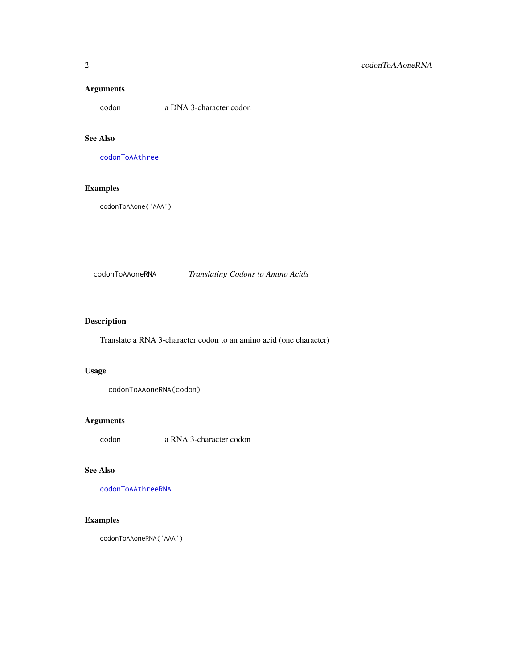#### <span id="page-1-0"></span>Arguments

codon a DNA 3-character codon

#### See Also

[codonToAAthree](#page-2-1)

### Examples

codonToAAone('AAA')

<span id="page-1-1"></span>codonToAAoneRNA *Translating Codons to Amino Acids*

### Description

Translate a RNA 3-character codon to an amino acid (one character)

#### Usage

codonToAAoneRNA(codon)

### Arguments

codon a RNA 3-character codon

## See Also

[codonToAAthreeRNA](#page-2-2)

#### Examples

codonToAAoneRNA('AAA')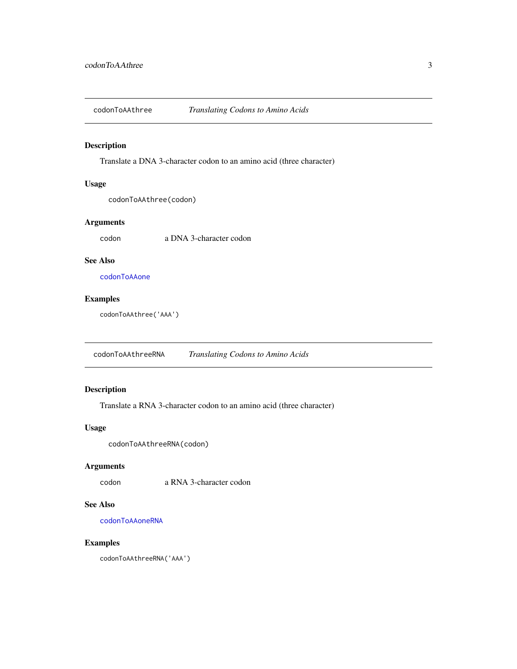<span id="page-2-1"></span><span id="page-2-0"></span>

#### Description

Translate a DNA 3-character codon to an amino acid (three character)

#### Usage

codonToAAthree(codon)

#### Arguments

codon a DNA 3-character codon

#### See Also

[codonToAAone](#page-0-1)

#### Examples

codonToAAthree('AAA')

<span id="page-2-2"></span>codonToAAthreeRNA *Translating Codons to Amino Acids*

#### Description

Translate a RNA 3-character codon to an amino acid (three character)

#### Usage

codonToAAthreeRNA(codon)

#### Arguments

codon a RNA 3-character codon

#### See Also

[codonToAAoneRNA](#page-1-1)

#### Examples

codonToAAthreeRNA('AAA')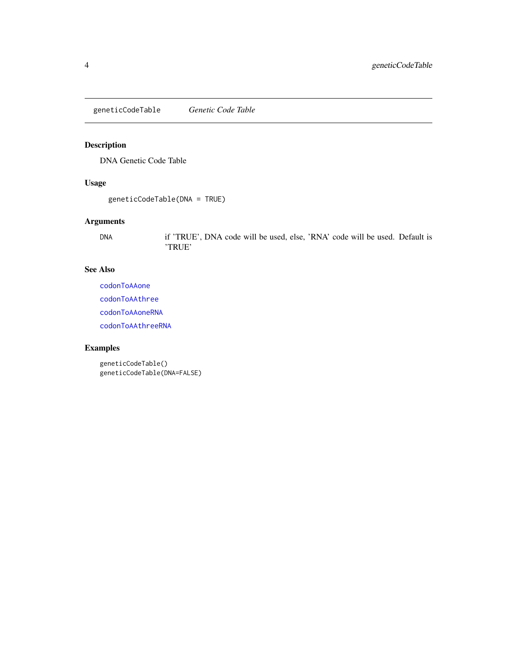<span id="page-3-0"></span>geneticCodeTable *Genetic Code Table*

### Description

DNA Genetic Code Table

#### Usage

```
geneticCodeTable(DNA = TRUE)
```
#### Arguments

DNA if 'TRUE', DNA code will be used, else, 'RNA' code will be used. Default is 'TRUE'

#### See Also

[codonToAAone](#page-0-1) [codonToAAthree](#page-2-1) [codonToAAoneRNA](#page-1-1) [codonToAAthreeRNA](#page-2-2)

### Examples

geneticCodeTable() geneticCodeTable(DNA=FALSE)